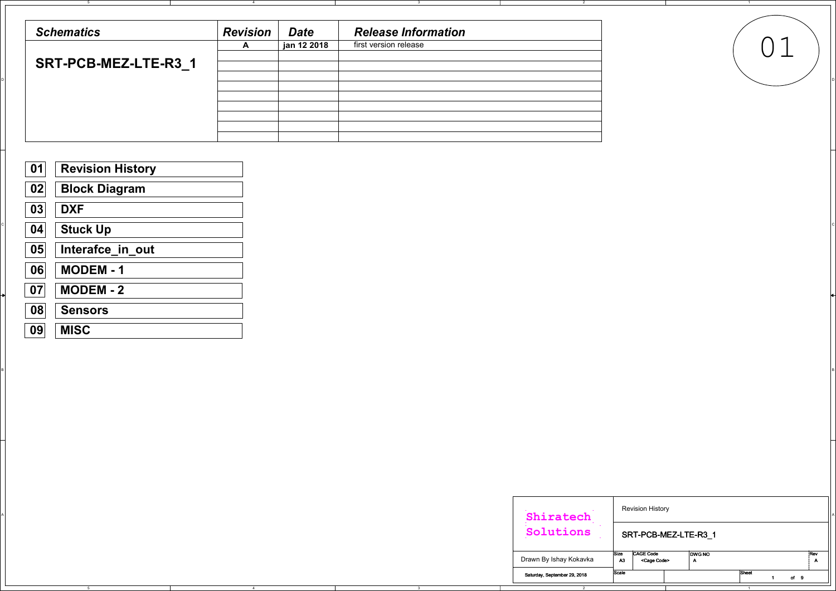5

4

4

3

3

B B

2

1

| <b>Schematics</b>           | <b>Revision</b> | <b>Date</b> | <b>Release Information</b> |  |
|-----------------------------|-----------------|-------------|----------------------------|--|
|                             | $\mathbf{A}$    | jan 12 2018 | first version release      |  |
| <b>SRT-PCB-MEZ-LTE-R3_1</b> |                 |             |                            |  |
|                             |                 |             |                            |  |
|                             |                 |             |                            |  |
|                             |                 |             |                            |  |
|                             |                 |             |                            |  |



| <b>Revision History</b><br>Shiratech                                                          |  |
|-----------------------------------------------------------------------------------------------|--|
| Solutions<br>SRT-PCB-MEZ-LTE-R3_1                                                             |  |
| CAGE Code<br>DWG NO<br>:Rev<br> Size<br>Drawn By Ishay Kokavka<br>A3<br><cage code=""></cage> |  |
| Sheet<br>Scale<br>Saturday, September 29, 2018<br>of 9                                        |  |

| 01 | <b>Revision History</b> |
|----|-------------------------|
| 02 | <b>Block Diagram</b>    |
| 03 | <b>DXF</b>              |
| 04 | <b>Stuck Up</b>         |
| 05 | Interafce_in_out        |
| 06 | <b>MODEM - 1</b>        |
| 07 | <b>MODEM - 2</b>        |
| 08 | <b>Sensors</b>          |
| 09 | <b>MISC</b>             |

| <b>Revision History</b><br>Shiratech<br>Solutions<br>SRT-PCB-MEZ-LTE-R3_1      | CAGE Code<br>Rev<br><b>Size</b><br><b>DWG NO</b> | rawn By Ishay Kokavka<br>A3<br><cage code=""><br/>A<br/>Α</cage> |                |  |                |  |  |
|--------------------------------------------------------------------------------|--------------------------------------------------|------------------------------------------------------------------|----------------|--|----------------|--|--|
|                                                                                |                                                  |                                                                  |                |  |                |  |  |
|                                                                                |                                                  |                                                                  |                |  |                |  |  |
|                                                                                |                                                  |                                                                  |                |  |                |  |  |
|                                                                                |                                                  |                                                                  |                |  |                |  |  |
|                                                                                |                                                  |                                                                  |                |  |                |  |  |
|                                                                                |                                                  |                                                                  |                |  |                |  |  |
|                                                                                |                                                  |                                                                  |                |  |                |  |  |
|                                                                                |                                                  |                                                                  |                |  |                |  |  |
|                                                                                |                                                  |                                                                  |                |  |                |  |  |
| Sheet<br>Scale<br>Saturday, September 29, 2018<br>of 9<br>$\blacktriangleleft$ |                                                  |                                                                  | $\overline{2}$ |  | $\overline{1}$ |  |  |

# ision History

# $T$  DCB-MEZ-LTE-R3\_1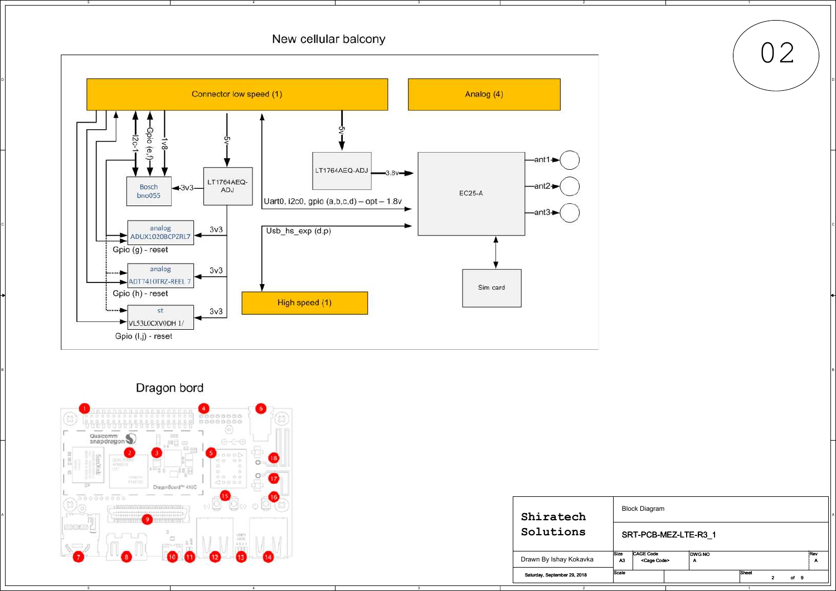4

# New cellular balcony

3

2

1





| ●<br>cococococono cor<br>$\begin{array}{c} 0000000000 \\ 0000000000 \\ \neg \end{array}$<br><u>CLOSED FERENCE POSTERO FERENCE POSTER</u><br><b>Contractor</b><br>$\frac{1}{2} \left( \frac{1}{2} \right) \left( \frac{1}{2} \right) \left( \frac{1}{2} \right) \left( \frac{1}{2} \right)$<br>Qualcomm<br>snapdragon<br>$-0.0$<br>典日<br>, an |                              |                                                  |                                 |
|----------------------------------------------------------------------------------------------------------------------------------------------------------------------------------------------------------------------------------------------------------------------------------------------------------------------------------------------|------------------------------|--------------------------------------------------|---------------------------------|
| $\circ$<br>APOSSIST<br>الكتا الكاسب<br>$\epsilon_{\rm m0.0} = \epsilon_{\rm b0}$<br>$\circ$<br>当共司<br>CHECKE<br>$\circ \circ$<br>O:O<br>KHATFOO<br>00000<br>DragonBoard <sup>m</sup> 410C<br>$\frac{1}{2}$<br>service.                                                                                                                       |                              |                                                  |                                 |
| $\overline{\bigotimes_{0}^{\infty}\bigotimes_{0}^{\infty}\bigotimes_{0}^{\infty}}$<br>$\sim$ 19 $\sim$ 19 $\sim$<br>113111111,<br>$[11 - 21 - 11]$<br>,,,,,,,,,,,<br><b>HEEFER</b><br>Tunnel<br>Alexandria                                                                                                                                   | Shiratech                    | <b>Block Diagram</b>                             |                                 |
| $\Box$<br><b>Service</b><br>nunur<br>usen<br>uusi<br>$\Box$<br>$-4.3.2.1$                                                                                                                                                                                                                                                                    | Solutions                    |                                                  | SRT-PCB-MEZ-LTE-R3_1            |
|                                                                                                                                                                                                                                                                                                                                              | Drawn By Ishay Kokavka       | CAGE Code<br>Size<br>A3<br><cage code=""></cage> | DWG NO<br>Rev                   |
|                                                                                                                                                                                                                                                                                                                                              | Saturday, September 29, 2018 | Scale                                            | Sheet<br>of 9<br>$\overline{2}$ |
| 5<br>$\overline{4}$<br>$\mathbf{3}$                                                                                                                                                                                                                                                                                                          |                              |                                                  | $\sim$ 1                        |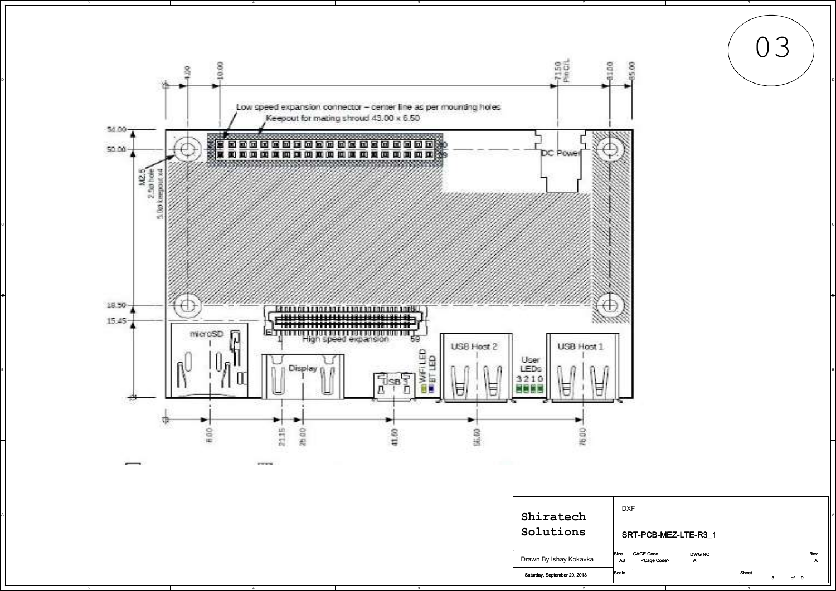

|  |  | Shiratech                    | <b>DXF</b> |                                    |        |       |      |  |
|--|--|------------------------------|------------|------------------------------------|--------|-------|------|--|
|  |  | Solutions                    |            | SRT-PCB-MEZ-LTE-R3_1               |        |       |      |  |
|  |  | Drawn By Ishay Kokavka       | A3         | CAGE Code<br><cage code=""></cage> | DWG NO |       |      |  |
|  |  | Saturday, September 29, 2018 | Scale      |                                    |        | Sheet | of 9 |  |
|  |  |                              |            |                                    |        |       |      |  |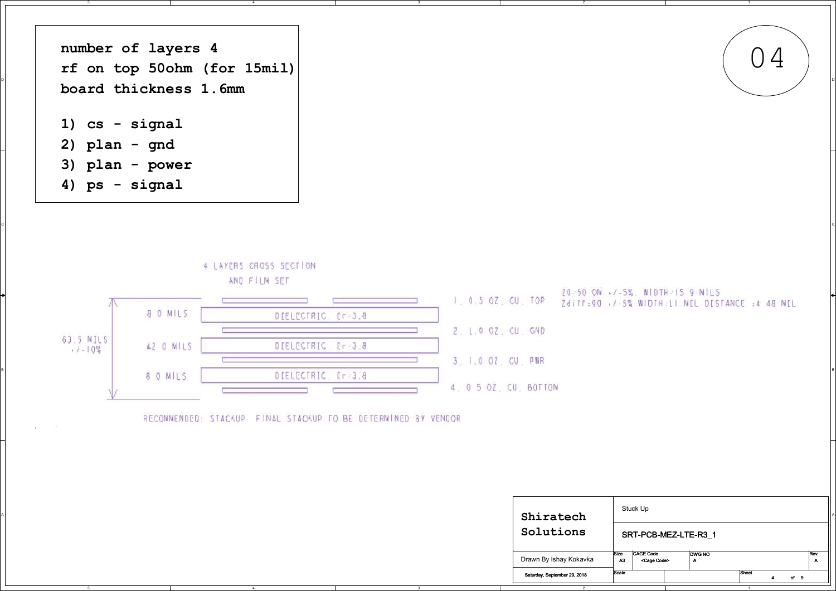4

3

 $\mathsf{C}$ 

2

1

# 20-50 ON -7-5%, NIDTH-15 9 NILS Zdiff=90 +7-5% WIDTH-LI NEL DESTANCE =4 48 NEL





| <b>Contract Contract</b><br><b>COLLE</b> | RECONNENDED: STACKUP FINAL STACKUP TO BE DETERNINED BY VENDOR |                         |                              |                                                   |                      |     |
|------------------------------------------|---------------------------------------------------------------|-------------------------|------------------------------|---------------------------------------------------|----------------------|-----|
|                                          |                                                               |                         |                              |                                                   |                      |     |
|                                          |                                                               |                         |                              |                                                   |                      |     |
|                                          |                                                               |                         |                              |                                                   |                      |     |
|                                          |                                                               |                         | Shiratech                    | Stuck Up                                          |                      |     |
|                                          |                                                               |                         | Solutions                    |                                                   | SRT-PCB-MEZ-LTE-R3_1 |     |
|                                          |                                                               |                         | Drawn By Ishay Kokavka       | CAGE Code<br>Size<br><cage code=""><br/>A3</cage> | DWG NO               | Rev |
|                                          |                                                               |                         | Saturday, September 29, 2018 | Scale                                             | Sheet<br>4 of 9      |     |
| $5^{\circ}$                              | $\sim$ 4                                                      | $\overline{\mathbf{3}}$ |                              |                                                   | $\overline{1}$       |     |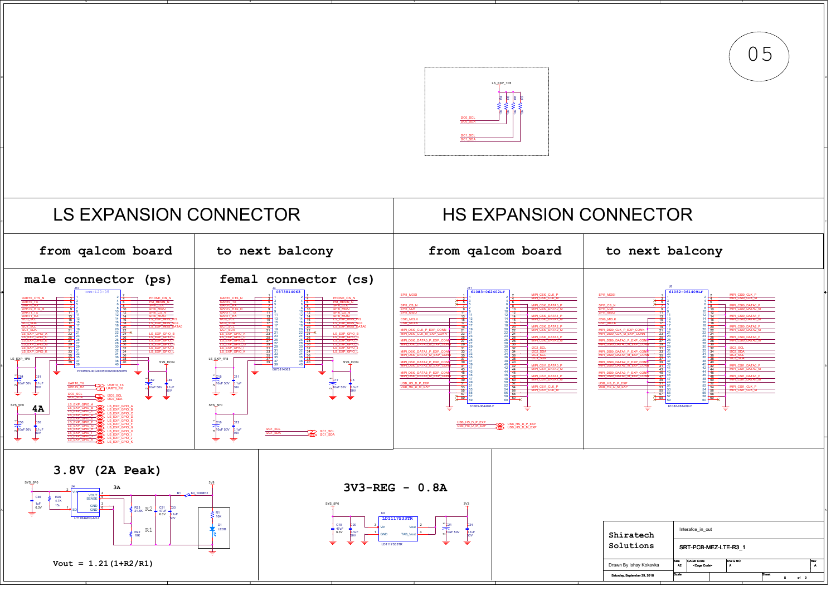4

3

2



| atech           |                   | Interafce in out                          |                    |              |  |      |          |
|-----------------|-------------------|-------------------------------------------|--------------------|--------------|--|------|----------|
| <b>ions</b>     |                   | SRT-PCB-MEZ-LTE-R3 1                      |                    |              |  |      |          |
| shay Kokavka    | <b>Size</b><br>A2 | <b>CAGE Code</b><br><cage code=""></cage> | <b>DWG NO</b><br>A |              |  |      | Rev<br>А |
| tember 29, 2018 | Scale             |                                           |                    | <b>Sheet</b> |  | of 9 |          |
|                 |                   |                                           |                    |              |  |      |          |



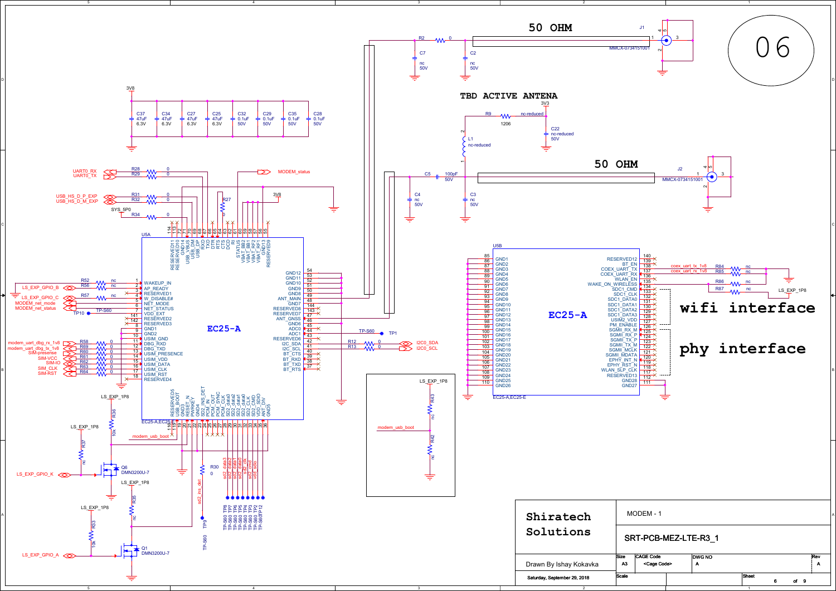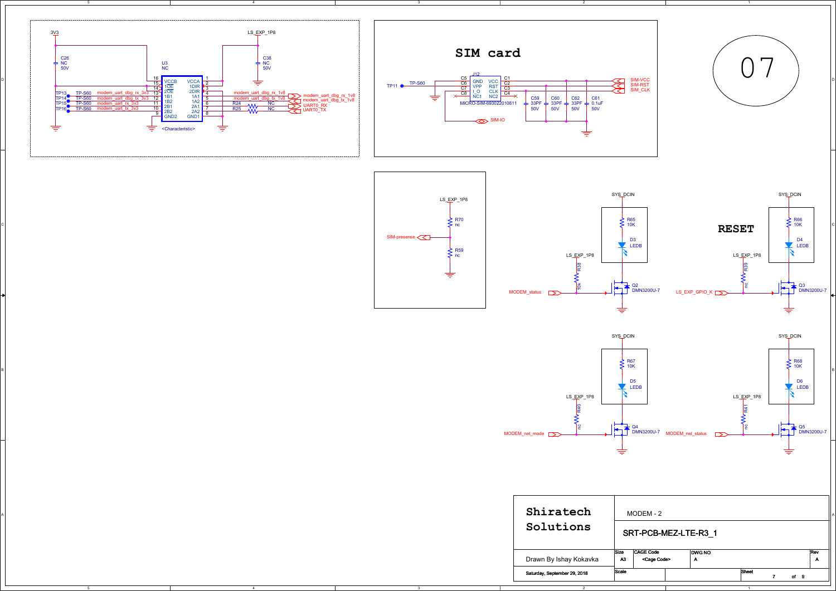5

4

4

3



2

| Shiratech<br>Solutions       | мс<br>SR.  |  |
|------------------------------|------------|--|
| Drawn By Ishay Kokavka       | Size<br>A3 |  |
| Saturday, September 29, 2018 | Scale      |  |





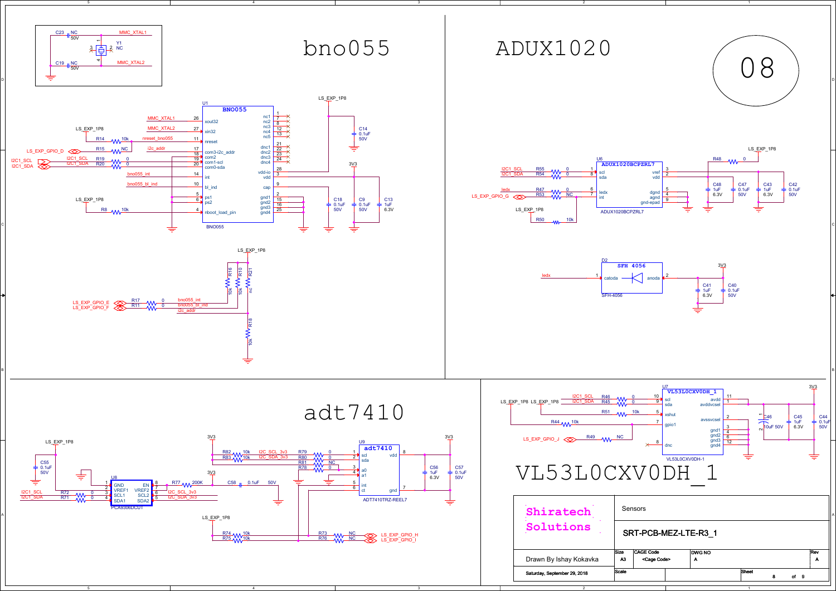